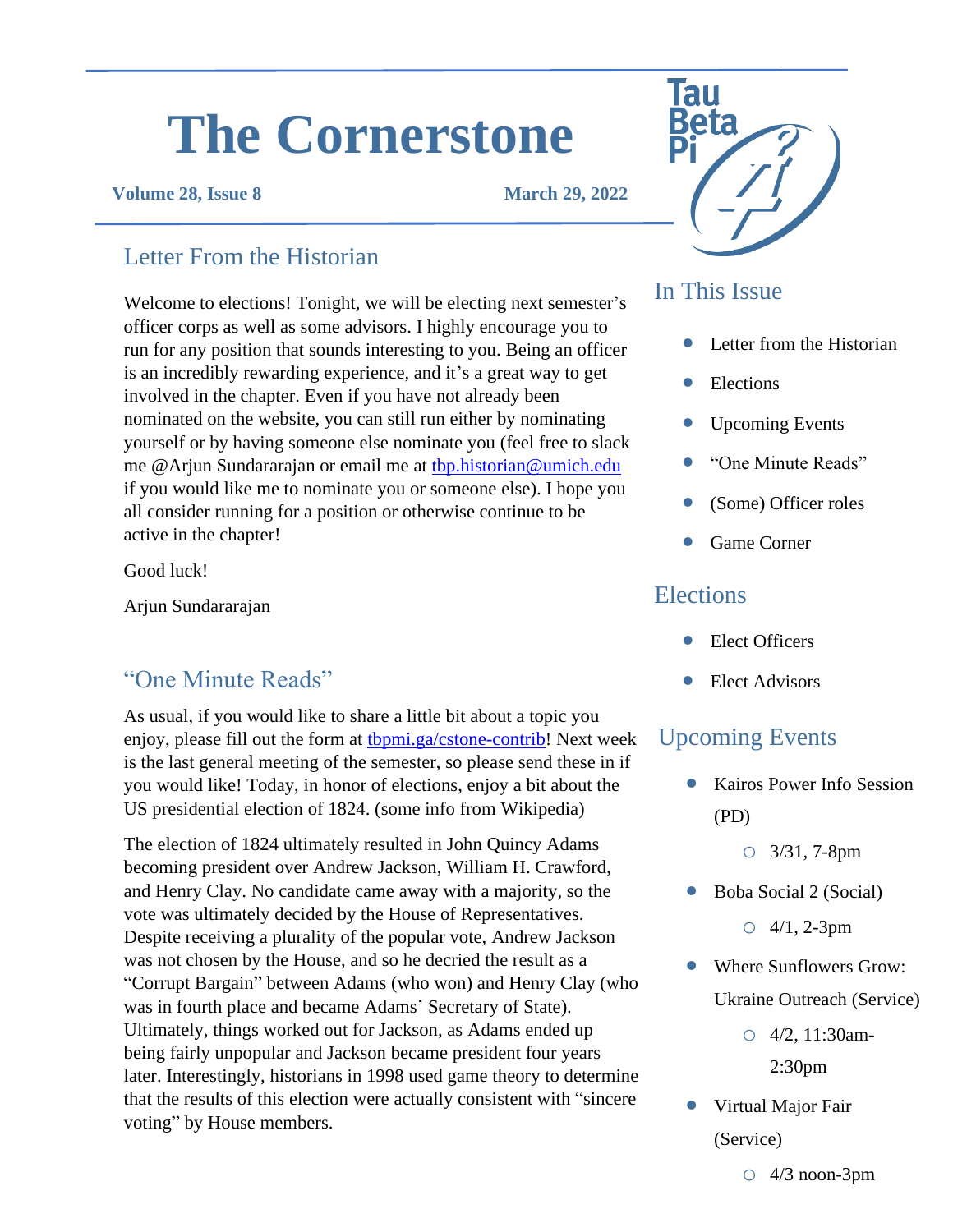# **The Cornerstone**

### **Volume 28, Issue 8 March 29, 2022**

## Letter From the Historian

Welcome to elections! Tonight, we will be electing next semester's officer corps as well as some advisors. I highly encourage you to run for any position that sounds interesting to you. Being an officer is an incredibly rewarding experience, and it's a great way to get involved in the chapter. Even if you have not already been nominated on the website, you can still run either by nominating yourself or by having someone else nominate you (feel free to slack me @Arjun Sundararajan or email me at [tbp.historian@umich.edu](mailto:tbp.historian@umich.edu) if you would like me to nominate you or someone else). I hope you all consider running for a position or otherwise continue to be active in the chapter!

Good luck!

Arjun Sundararajan

## "One Minute Reads" • Clear Figure 1: 1999

As usual, if you would like to share a little bit about a topic you enjoy, please fill out the form at the *pmi.ga/cstone-contrib!* Next week is the last general meeting of the semester, so please send these in if you would like! Today, in honor of elections, enjoy a bit about the US presidential election of 1824. (some info from Wikipedia)

The election of 1824 ultimately resulted in John Quincy Adams becoming president over Andrew Jackson, William H. Crawford, and Henry Clay. No candidate came away with a majority, so the vote was ultimately decided by the House of Representatives. Despite receiving a plurality of the popular vote, Andrew Jackson was not chosen by the House, and so he decried the result as a "Corrupt Bargain" between Adams (who won) and Henry Clay (who was in fourth place and became Adams' Secretary of State). Ultimately, things worked out for Jackson, as Adams ended up being fairly unpopular and Jackson became president four years later. Interestingly, historians in 1998 used game theory to determine that the results of this election were actually consistent with "sincere voting" by House members.



## In This Issue

- Letter from the Historian
- **Elections**
- Upcoming Events
- "One Minute Reads"
- (Some) Officer roles
- Game Corner

## **Elections**

- Elect Officers
- 

## Upcoming Events

• Kairos Power Info Session (PD)

o 3/31, 7-8pm

• Boba Social 2 (Social)

 $O \frac{4}{1}$ , 2-3pm

- Where Sunflowers Grow: Ukraine Outreach (Service)
	- o 4/2, 11:30am-2:30pm
- Virtual Major Fair (Service)

 $\circ$  4/3 noon-3pm